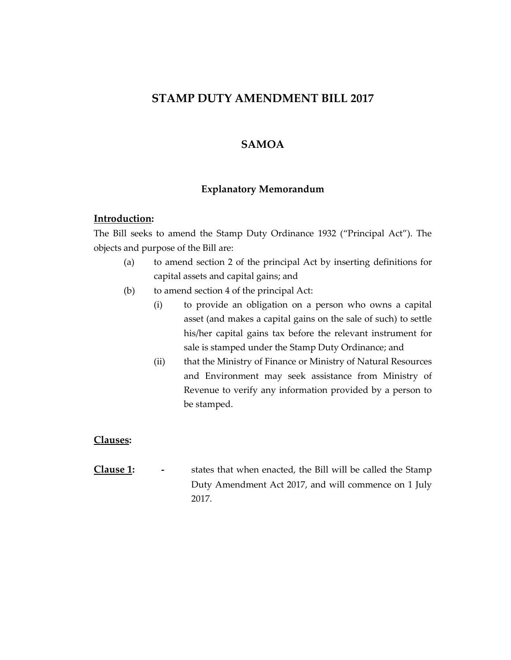# **STAMP DUTY AMENDMENT BILL 2017**

## **SAMOA**

### **Explanatory Memorandum**

#### **Introduction:**

The Bill seeks to amend the Stamp Duty Ordinance 1932 ("Principal Act"). The objects and purpose of the Bill are:

- (a) to amend section 2 of the principal Act by inserting definitions for capital assets and capital gains; and
- (b) to amend section 4 of the principal Act:
	- (i) to provide an obligation on a person who owns a capital asset (and makes a capital gains on the sale of such) to settle his/her capital gains tax before the relevant instrument for sale is stamped under the Stamp Duty Ordinance; and
	- (ii) that the Ministry of Finance or Ministry of Natural Resources and Environment may seek assistance from Ministry of Revenue to verify any information provided by a person to be stamped.

### **Clauses:**

**Clause 1: -** states that when enacted, the Bill will be called the Stamp Duty Amendment Act 2017, and will commence on 1 July 2017.